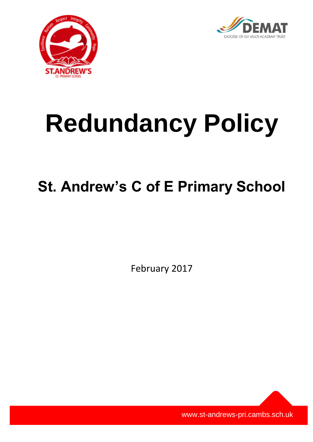



## **Redundancy Policy**

## **St. Andrew's C of E Primary School**

February 2017

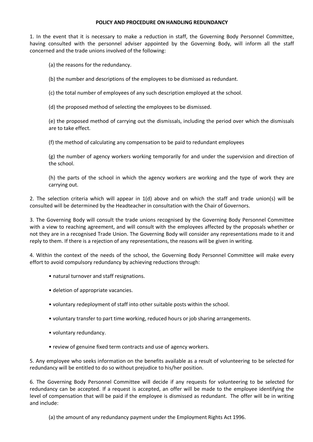## **POLICY AND PROCEDURE ON HANDLING REDUNDANCY**

1. In the event that it is necessary to make a reduction in staff, the Governing Body Personnel Committee, having consulted with the personnel adviser appointed by the Governing Body, will inform all the staff concerned and the trade unions involved of the following:

(a) the reasons for the redundancy.

(b) the number and descriptions of the employees to be dismissed as redundant.

(c) the total number of employees of any such description employed at the school.

(d) the proposed method of selecting the employees to be dismissed.

(e) the proposed method of carrying out the dismissals, including the period over which the dismissals are to take effect.

(f) the method of calculating any compensation to be paid to redundant employees

(g) the number of agency workers working temporarily for and under the supervision and direction of the school.

(h) the parts of the school in which the agency workers are working and the type of work they are carrying out.

2. The selection criteria which will appear in 1(d) above and on which the staff and trade union(s) will be consulted will be determined by the Headteacher in consultation with the Chair of Governors.

3. The Governing Body will consult the trade unions recognised by the Governing Body Personnel Committee with a view to reaching agreement, and will consult with the employees affected by the proposals whether or not they are in a recognised Trade Union. The Governing Body will consider any representations made to it and reply to them. If there is a rejection of any representations, the reasons will be given in writing.

4. Within the context of the needs of the school, the Governing Body Personnel Committee will make every effort to avoid compulsory redundancy by achieving reductions through:

- natural turnover and staff resignations.
- deletion of appropriate vacancies.
- voluntary redeployment of staff into other suitable posts within the school.
- voluntary transfer to part time working, reduced hours or job sharing arrangements.
- voluntary redundancy.
- review of genuine fixed term contracts and use of agency workers.

5. Any employee who seeks information on the benefits available as a result of volunteering to be selected for redundancy will be entitled to do so without prejudice to his/her position.

6. The Governing Body Personnel Committee will decide if any requests for volunteering to be selected for redundancy can be accepted. If a request is accepted, an offer will be made to the employee identifying the level of compensation that will be paid if the employee is dismissed as redundant. The offer will be in writing and include:

(a) the amount of any redundancy payment under the Employment Rights Act 1996.